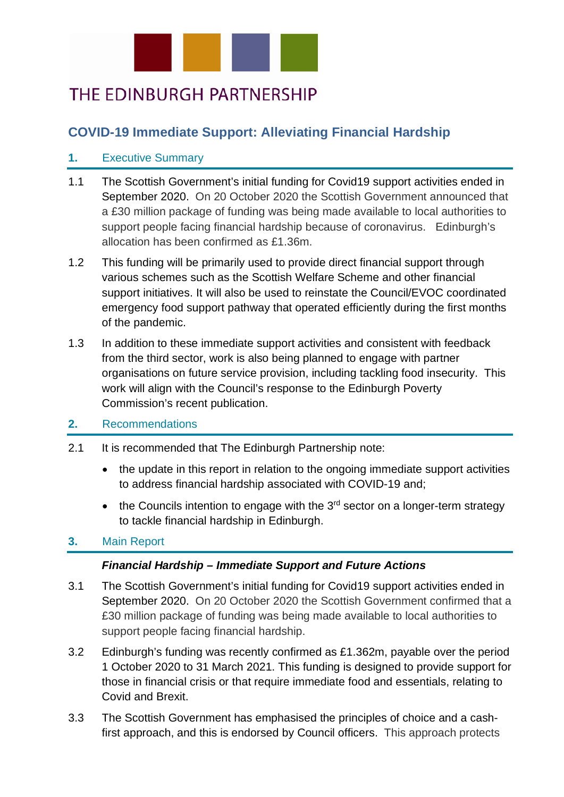

# THE EDINBURGH PARTNERSHIP

## **COVID-19 Immediate Support: Alleviating Financial Hardship**

### **1.** Executive Summary

- 1.1 The Scottish Government's initial funding for Covid19 support activities ended in September 2020. On 20 October 2020 the Scottish Government announced that a £30 million package of funding was being made available to local authorities to support people facing financial hardship because of coronavirus. Edinburgh's allocation has been confirmed as £1.36m.
- 1.2 This funding will be primarily used to provide direct financial support through various schemes such as the Scottish Welfare Scheme and other financial support initiatives. It will also be used to reinstate the Council/EVOC coordinated emergency food support pathway that operated efficiently during the first months of the pandemic.
- 1.3 In addition to these immediate support activities and consistent with feedback from the third sector, work is also being planned to engage with partner organisations on future service provision, including tackling food insecurity. This work will align with the Council's response to the Edinburgh Poverty Commission's recent publication.

#### **2.** Recommendations

- 2.1 It is recommended that The Edinburgh Partnership note:
	- the update in this report in relation to the ongoing immediate support activities to address financial hardship associated with COVID-19 and;
	- the Councils intention to engage with the  $3<sup>rd</sup>$  sector on a longer-term strategy to tackle financial hardship in Edinburgh.

#### **3.** Main Report

#### *Financial Hardship – Immediate Support and Future Actions*

- 3.1 The Scottish Government's initial funding for Covid19 support activities ended in September 2020. On 20 October 2020 the Scottish Government confirmed that a £30 million package of funding was being made available to local authorities to support people facing financial hardship.
- 3.2 Edinburgh's funding was recently confirmed as £1.362m, payable over the period 1 October 2020 to 31 March 2021. This funding is designed to provide support for those in financial crisis or that require immediate food and essentials, relating to Covid and Brexit.
- 3.3 The Scottish Government has emphasised the principles of choice and a cashfirst approach, and this is endorsed by Council officers. This approach protects